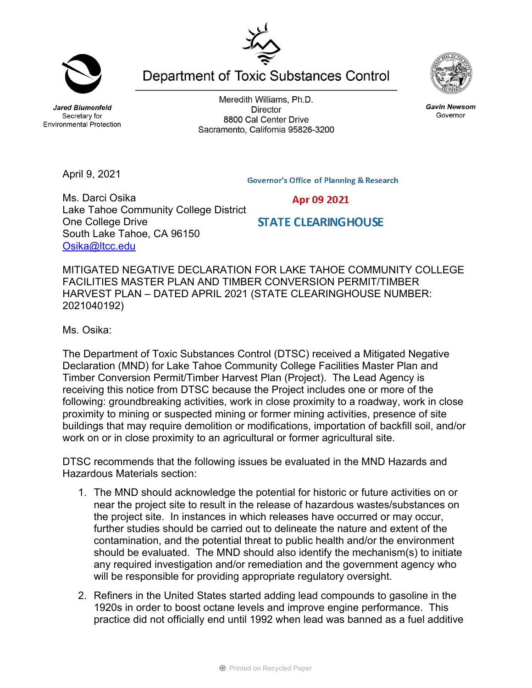**Jared Blumenfeld** Secretary for **Environmental Protection** 

Meredith Williams, Ph.D. **Director** 8800 Cal Center Drive Sacramento, California 95826-3200

Department of Toxic Substances Control

MITIGATED NEGATIVE DECLARATION FOR LAKE TAHOE COMMUNITY COLLEGE FACILITIES MASTER PLAN AND TIMBER CONVERSION PERMIT/TIMBER HARVEST PLAN – DATED APRIL 2021 (STATE CLEARINGHOUSE NUMBER: 2021040192)

Ms. Osika:

The Department of Toxic Substances Control (DTSC) received a Mitigated Negative Declaration (MND) for Lake Tahoe Community College Facilities Master Plan and Timber Conversion Permit/Timber Harvest Plan (Project). The Lead Agency is receiving this notice from DTSC because the Project includes one or more of the following: groundbreaking activities, work in close proximity to a roadway, work in close proximity to mining or suspected mining or former mining activities, presence of site buildings that may require demolition or modifications, importation of backfill soil, and/or work on or in close proximity to an agricultural or former agricultural site.

DTSC recommends that the following issues be evaluated in the MND Hazards and Hazardous Materials section:

- 1. The MND should acknowledge the potential for historic or future activities on or near the project site to result in the release of hazardous wastes/substances on the project site. In instances in which releases have occurred or may occur, further studies should be carried out to delineate the nature and extent of the contamination, and the potential threat to public health and/or the environment should be evaluated. The MND should also identify the mechanism(s) to initiate any required investigation and/or remediation and the government agency who will be responsible for providing appropriate regulatory oversight.
- 2. Refiners in the United States started adding lead compounds to gasoline in the 1920s in order to boost octane levels and improve engine performance. This practice did not officially end until 1992 when lead was banned as a fuel additive



**Gavin Newsom** Governor

April 9, 2021

Ms. Darci Osika

Osika@ltcc.edu

One College Drive

South Lake Tahoe, CA 96150

Lake Tahoe Community College District

**Governor's Office of Planning & Research** 

Apr 09 2021

**STATE CLEARING HOUSE** 

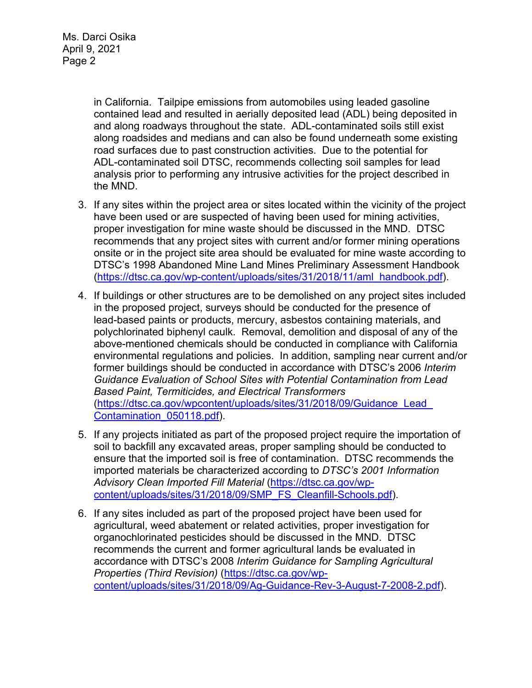in California. Tailpipe emissions from automobiles using leaded gasoline contained lead and resulted in aerially deposited lead (ADL) being deposited in and along roadways throughout the state. ADL-contaminated soils still exist along roadsides and medians and can also be found underneath some existing road surfaces due to past construction activities. Due to the potential for ADL-contaminated soil DTSC, recommends collecting soil samples for lead analysis prior to performing any intrusive activities for the project described in the MND.

- 3. If any sites within the project area or sites located within the vicinity of the project have been used or are suspected of having been used for mining activities, proper investigation for mine waste should be discussed in the MND. DTSC recommends that any project sites with current and/or former mining operations onsite or in the project site area should be evaluated for mine waste according to DTSC's 1998 Abandoned Mine Land Mines Preliminary Assessment Handbook (https://dtsc.ca.gov/wp-content/uploads/sites/31/2018/11/aml\_handbook.pdf).
- 4. If buildings or other structures are to be demolished on any project sites included in the proposed project, surveys should be conducted for the presence of lead-based paints or products, mercury, asbestos containing materials, and polychlorinated biphenyl caulk. Removal, demolition and disposal of any of the above-mentioned chemicals should be conducted in compliance with California environmental regulations and policies. In addition, sampling near current and/or former buildings should be conducted in accordance with DTSC's 2006 *Interim Guidance Evaluation of School Sites with Potential Contamination from Lead Based Paint, Termiticides, and Electrical Transformers*  (https://dtsc.ca.gov/wpcontent/uploads/sites/31/2018/09/Guidance\_Lead\_ Contamination\_050118.pdf).
- 5. If any projects initiated as part of the proposed project require the importation of soil to backfill any excavated areas, proper sampling should be conducted to ensure that the imported soil is free of contamination. DTSC recommends the imported materials be characterized according to *DTSC's 2001 Information Advisory Clean Imported Fill Material* (https://dtsc.ca.gov/wpcontent/uploads/sites/31/2018/09/SMP\_FS\_Cleanfill-Schools.pdf).
- 6. If any sites included as part of the proposed project have been used for agricultural, weed abatement or related activities, proper investigation for organochlorinated pesticides should be discussed in the MND. DTSC recommends the current and former agricultural lands be evaluated in accordance with DTSC's 2008 *Interim Guidance for Sampling Agricultural Properties (Third Revision)* (https://dtsc.ca.gov/wpcontent/uploads/sites/31/2018/09/Ag-Guidance-Rev-3-August-7-2008-2.pdf).